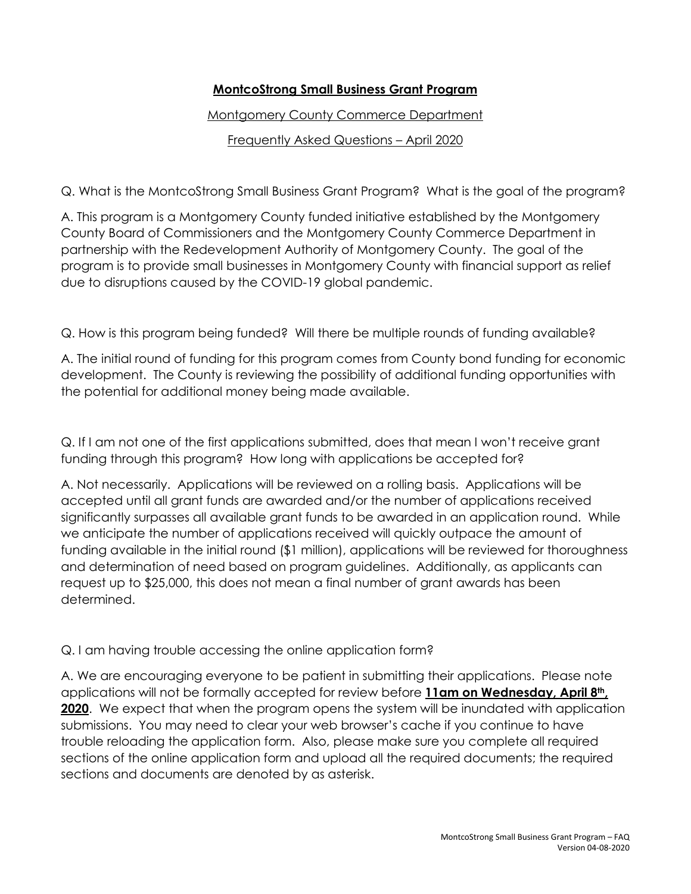## **MontcoStrong Small Business Grant Program**

Montgomery County Commerce Department

Frequently Asked Questions – April 2020

Q. What is the MontcoStrong Small Business Grant Program? What is the goal of the program?

A. This program is a Montgomery County funded initiative established by the Montgomery County Board of Commissioners and the Montgomery County Commerce Department in partnership with the Redevelopment Authority of Montgomery County. The goal of the program is to provide small businesses in Montgomery County with financial support as relief due to disruptions caused by the COVID-19 global pandemic.

Q. How is this program being funded? Will there be multiple rounds of funding available?

A. The initial round of funding for this program comes from County bond funding for economic development. The County is reviewing the possibility of additional funding opportunities with the potential for additional money being made available.

Q. If I am not one of the first applications submitted, does that mean I won't receive grant funding through this program? How long with applications be accepted for?

A. Not necessarily. Applications will be reviewed on a rolling basis. Applications will be accepted until all grant funds are awarded and/or the number of applications received significantly surpasses all available grant funds to be awarded in an application round. While we anticipate the number of applications received will quickly outpace the amount of funding available in the initial round (\$1 million), applications will be reviewed for thoroughness and determination of need based on program guidelines. Additionally, as applicants can request up to \$25,000, this does not mean a final number of grant awards has been determined.

Q. I am having trouble accessing the online application form?

A. We are encouraging everyone to be patient in submitting their applications. Please note applications will not be formally accepted for review before **11am on Wednesday, April 8th, 2020**. We expect that when the program opens the system will be inundated with application submissions. You may need to clear your web browser's cache if you continue to have trouble reloading the application form. Also, please make sure you complete all required sections of the online application form and upload all the required documents; the required sections and documents are denoted by as asterisk.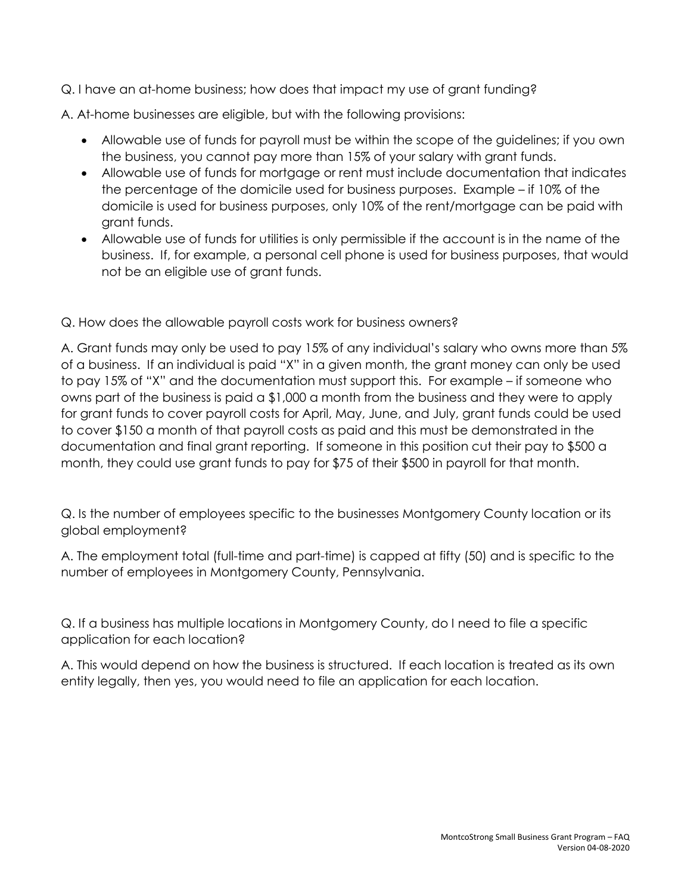Q. I have an at-home business; how does that impact my use of grant funding?

A. At-home businesses are eligible, but with the following provisions:

- Allowable use of funds for payroll must be within the scope of the guidelines; if you own the business, you cannot pay more than 15% of your salary with grant funds.
- Allowable use of funds for mortgage or rent must include documentation that indicates the percentage of the domicile used for business purposes. Example – if 10% of the domicile is used for business purposes, only 10% of the rent/mortgage can be paid with grant funds.
- Allowable use of funds for utilities is only permissible if the account is in the name of the business. If, for example, a personal cell phone is used for business purposes, that would not be an eligible use of grant funds.

Q. How does the allowable payroll costs work for business owners?

A. Grant funds may only be used to pay 15% of any individual's salary who owns more than 5% of a business. If an individual is paid "X" in a given month, the grant money can only be used to pay 15% of "X" and the documentation must support this. For example – if someone who owns part of the business is paid a \$1,000 a month from the business and they were to apply for grant funds to cover payroll costs for April, May, June, and July, grant funds could be used to cover \$150 a month of that payroll costs as paid and this must be demonstrated in the documentation and final grant reporting. If someone in this position cut their pay to \$500 a month, they could use grant funds to pay for \$75 of their \$500 in payroll for that month.

Q. Is the number of employees specific to the businesses Montgomery County location or its global employment?

A. The employment total (full-time and part-time) is capped at fifty (50) and is specific to the number of employees in Montgomery County, Pennsylvania.

Q. If a business has multiple locations in Montgomery County, do I need to file a specific application for each location?

A. This would depend on how the business is structured. If each location is treated as its own entity legally, then yes, you would need to file an application for each location.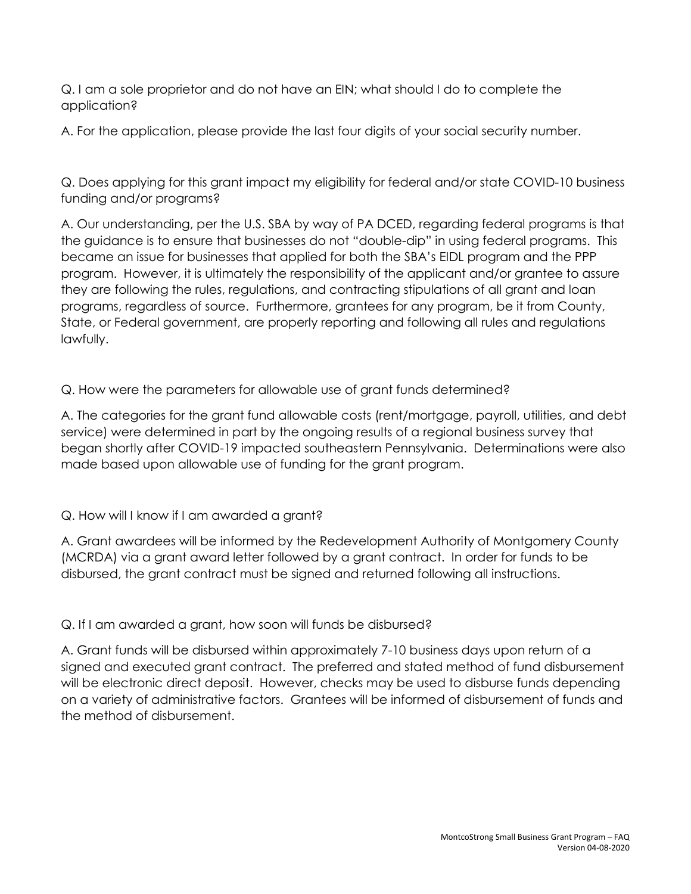Q. I am a sole proprietor and do not have an EIN; what should I do to complete the application?

A. For the application, please provide the last four digits of your social security number.

Q. Does applying for this grant impact my eligibility for federal and/or state COVID-10 business funding and/or programs?

A. Our understanding, per the U.S. SBA by way of PA DCED, regarding federal programs is that the guidance is to ensure that businesses do not "double-dip" in using federal programs. This became an issue for businesses that applied for both the SBA's EIDL program and the PPP program. However, it is ultimately the responsibility of the applicant and/or grantee to assure they are following the rules, regulations, and contracting stipulations of all grant and loan programs, regardless of source. Furthermore, grantees for any program, be it from County, State, or Federal government, are properly reporting and following all rules and regulations lawfully.

Q. How were the parameters for allowable use of grant funds determined?

A. The categories for the grant fund allowable costs (rent/mortgage, payroll, utilities, and debt service) were determined in part by the ongoing results of a regional business survey that began shortly after COVID-19 impacted southeastern Pennsylvania. Determinations were also made based upon allowable use of funding for the grant program.

Q. How will I know if I am awarded a grant?

A. Grant awardees will be informed by the Redevelopment Authority of Montgomery County (MCRDA) via a grant award letter followed by a grant contract. In order for funds to be disbursed, the grant contract must be signed and returned following all instructions.

Q. If I am awarded a grant, how soon will funds be disbursed?

A. Grant funds will be disbursed within approximately 7-10 business days upon return of a signed and executed grant contract. The preferred and stated method of fund disbursement will be electronic direct deposit. However, checks may be used to disburse funds depending on a variety of administrative factors. Grantees will be informed of disbursement of funds and the method of disbursement.